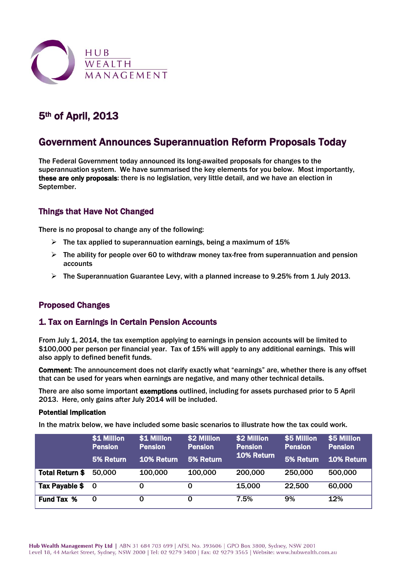

# 5th of April, 2013

# Government Announces Superannuation Reform Proposals Today

The Federal Government today announced its long-awaited proposals for changes to the superannuation system. We have summarised the key elements for you below. Most importantly, these are only proposals: there is no legislation, very little detail, and we have an election in September.

## Things that Have Not Changed

There is no proposal to change any of the following:

- $\triangleright$  The tax applied to superannuation earnings, being a maximum of 15%
- $\triangleright$  The ability for people over 60 to withdraw money tax-free from superannuation and pension accounts
- $\triangleright$  The Superannuation Guarantee Levy, with a planned increase to 9.25% from 1 July 2013.

## Proposed Changes

## 1. Tax on Earnings in Certain Pension Accounts

From July 1, 2014, the tax exemption applying to earnings in pension accounts will be limited to \$100,000 per person per financial year. Tax of 15% will apply to any additional earnings. This will also apply to defined benefit funds.

Comment: The announcement does not clarify exactly what "earnings" are, whether there is any offset that can be used for years when earnings are negative, and many other technical details.

There are also some important exemptions outlined, including for assets purchased prior to 5 April 2013. Here, only gains after July 2014 will be included.

#### Potential Implication

In the matrix below, we have included some basic scenarios to illustrate how the tax could work.

|                        | \$1 Million<br><b>Pension</b><br>5% Return | \$1 Million<br><b>Pension</b><br>10% Return | \$2 Million<br><b>Pension</b><br>5% Return | \$2 Million<br><b>Pension</b><br>10% Return | \$5 Million<br><b>Pension</b><br>5% Return | \$5 Million<br><b>Pension</b><br><b>10% Return</b> |
|------------------------|--------------------------------------------|---------------------------------------------|--------------------------------------------|---------------------------------------------|--------------------------------------------|----------------------------------------------------|
| <b>Total Return \$</b> | 50.000                                     | 100,000                                     | 100,000                                    | 200,000                                     | 250,000                                    | 500,000                                            |
| <b>Tax Payable \$</b>  | - 0                                        | 0                                           | 0                                          | 15,000                                      | 22,500                                     | 60,000                                             |
| <b>Fund Tax %</b>      | 0                                          |                                             | 0                                          | 7.5%                                        | 9%                                         | 12%                                                |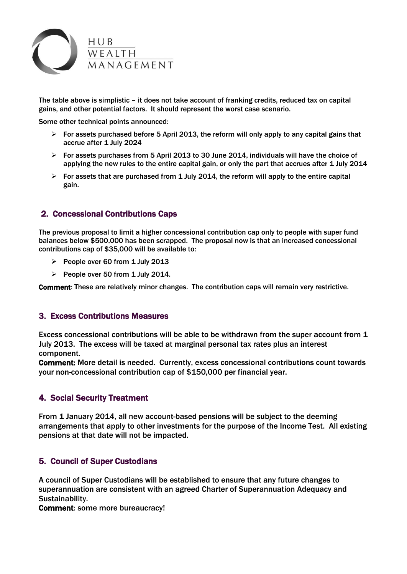

The table above is simplistic – it does not take account of franking credits, reduced tax on capital gains, and other potential factors. It should represent the worst case scenario.

Some other technical points announced:

- $\triangleright$  For assets purchased before 5 April 2013, the reform will only apply to any capital gains that accrue after 1 July 2024
- $\triangleright$  For assets purchases from 5 April 2013 to 30 June 2014, individuals will have the choice of applying the new rules to the entire capital gain, or only the part that accrues after 1 July 2014
- $\triangleright$  For assets that are purchased from 1 July 2014, the reform will apply to the entire capital gain.

## 2. Concessional Contributions Caps

The previous proposal to limit a higher concessional contribution cap only to people with super fund balances below \$500,000 has been scrapped. The proposal now is that an increased concessional contributions cap of \$35,000 will be available to:

- People over 60 from 1 July 2013
- People over 50 from 1 July 2014.

Comment: These are relatively minor changes. The contribution caps will remain very restrictive.

## 3. Excess Contributions Measures

Excess concessional contributions will be able to be withdrawn from the super account from 1 July 2013. The excess will be taxed at marginal personal tax rates plus an interest component.

Comment: More detail is needed. Currently, excess concessional contributions count towards your non-concessional contribution cap of \$150,000 per financial year.

## 4. Social Security Treatment

From 1 January 2014, all new account-based pensions will be subject to the deeming arrangements that apply to other investments for the purpose of the Income Test. All existing pensions at that date will not be impacted.

#### 5. Council of Super Custodians

A council of Super Custodians will be established to ensure that any future changes to superannuation are consistent with an agreed Charter of Superannuation Adequacy and Sustainability.

Comment: some more bureaucracy!